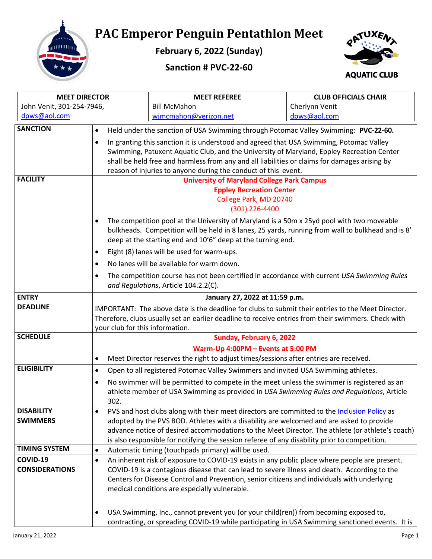

## **PAC Emperor Penguin Pentathlon Meet**

**February 6, 2022 (Sunday)**

**Sanction # PVC-22-60**



| <b>MEET DIRECTOR</b>      |                                                                                                                                                                                                             | <b>MEET REFEREE</b>                                                                                 | <b>CLUB OFFICIALS CHAIR</b> |  |
|---------------------------|-------------------------------------------------------------------------------------------------------------------------------------------------------------------------------------------------------------|-----------------------------------------------------------------------------------------------------|-----------------------------|--|
| John Venit, 301-254-7946, |                                                                                                                                                                                                             | <b>Bill McMahon</b>                                                                                 | Cherlynn Venit              |  |
| dpws@aol.com              |                                                                                                                                                                                                             | wjmcmahon@verizon.net                                                                               | dpws@aol.com                |  |
| <b>SANCTION</b>           | $\bullet$                                                                                                                                                                                                   | Held under the sanction of USA Swimming through Potomac Valley Swimming: PVC-22-60.                 |                             |  |
|                           | $\bullet$                                                                                                                                                                                                   | In granting this sanction it is understood and agreed that USA Swimming, Potomac Valley             |                             |  |
|                           |                                                                                                                                                                                                             | Swimming, Patuxent Aquatic Club, and the University of Maryland, Eppley Recreation Center           |                             |  |
|                           |                                                                                                                                                                                                             | shall be held free and harmless from any and all liabilities or claims for damages arising by       |                             |  |
|                           | reason of injuries to anyone during the conduct of this event.                                                                                                                                              |                                                                                                     |                             |  |
| <b>FACILITY</b>           | <b>University of Maryland College Park Campus</b>                                                                                                                                                           |                                                                                                     |                             |  |
|                           |                                                                                                                                                                                                             | <b>Eppley Recreation Center</b>                                                                     |                             |  |
|                           |                                                                                                                                                                                                             | College Park, MD 20740<br>(301) 226-4400                                                            |                             |  |
|                           |                                                                                                                                                                                                             |                                                                                                     |                             |  |
|                           | The competition pool at the University of Maryland is a 50m x 25yd pool with two moveable<br>$\bullet$<br>bulkheads. Competition will be held in 8 lanes, 25 yards, running from wall to bulkhead and is 8' |                                                                                                     |                             |  |
|                           |                                                                                                                                                                                                             | deep at the starting end and 10'6" deep at the turning end.                                         |                             |  |
|                           | $\bullet$                                                                                                                                                                                                   | Eight (8) lanes will be used for warm-ups.                                                          |                             |  |
|                           | $\bullet$                                                                                                                                                                                                   | No lanes will be available for warm down.                                                           |                             |  |
|                           | $\bullet$                                                                                                                                                                                                   | The competition course has not been certified in accordance with current USA Swimming Rules         |                             |  |
|                           |                                                                                                                                                                                                             | and Regulations, Article 104.2.2(C).                                                                |                             |  |
| <b>ENTRY</b>              |                                                                                                                                                                                                             | January 27, 2022 at 11:59 p.m.                                                                      |                             |  |
| <b>DEADLINE</b>           | IMPORTANT: The above date is the deadline for clubs to submit their entries to the Meet Director.                                                                                                           |                                                                                                     |                             |  |
|                           |                                                                                                                                                                                                             | Therefore, clubs usually set an earlier deadline to receive entries from their swimmers. Check with |                             |  |
|                           | your club for this information.                                                                                                                                                                             |                                                                                                     |                             |  |
| <b>SCHEDULE</b>           | Sunday, February 6, 2022                                                                                                                                                                                    |                                                                                                     |                             |  |
|                           | Warm-Up 4:00PM - Events at 5:00 PM                                                                                                                                                                          |                                                                                                     |                             |  |
| <b>ELIGIBILITY</b>        | $\bullet$                                                                                                                                                                                                   | Meet Director reserves the right to adjust times/sessions after entries are received.               |                             |  |
|                           | $\bullet$                                                                                                                                                                                                   | Open to all registered Potomac Valley Swimmers and invited USA Swimming athletes.                   |                             |  |
|                           | $\bullet$                                                                                                                                                                                                   | No swimmer will be permitted to compete in the meet unless the swimmer is registered as an          |                             |  |
|                           | 302.                                                                                                                                                                                                        | athlete member of USA Swimming as provided in USA Swimming Rules and Regulations, Article           |                             |  |
| <b>DISABILITY</b>         |                                                                                                                                                                                                             | PVS and host clubs along with their meet directors are committed to the Inclusion Policy as         |                             |  |
| <b>SWIMMERS</b>           |                                                                                                                                                                                                             | adopted by the PVS BOD. Athletes with a disability are welcomed and are asked to provide            |                             |  |
|                           |                                                                                                                                                                                                             | advance notice of desired accommodations to the Meet Director. The athlete (or athlete's coach)     |                             |  |
|                           |                                                                                                                                                                                                             | is also responsible for notifying the session referee of any disability prior to competition.       |                             |  |
| <b>TIMING SYSTEM</b>      | $\bullet$                                                                                                                                                                                                   | Automatic timing (touchpads primary) will be used.                                                  |                             |  |
| COVID-19                  | $\bullet$                                                                                                                                                                                                   | An inherent risk of exposure to COVID-19 exists in any public place where people are present.       |                             |  |
| <b>CONSIDERATIONS</b>     |                                                                                                                                                                                                             | COVID-19 is a contagious disease that can lead to severe illness and death. According to the        |                             |  |
|                           |                                                                                                                                                                                                             | Centers for Disease Control and Prevention, senior citizens and individuals with underlying         |                             |  |
|                           |                                                                                                                                                                                                             | medical conditions are especially vulnerable.                                                       |                             |  |
|                           |                                                                                                                                                                                                             |                                                                                                     |                             |  |
|                           | $\bullet$                                                                                                                                                                                                   | USA Swimming, Inc., cannot prevent you (or your child(ren)) from becoming exposed to,               |                             |  |
|                           |                                                                                                                                                                                                             | contracting, or spreading COVID-19 while participating in USA Swimming sanctioned events. It is     |                             |  |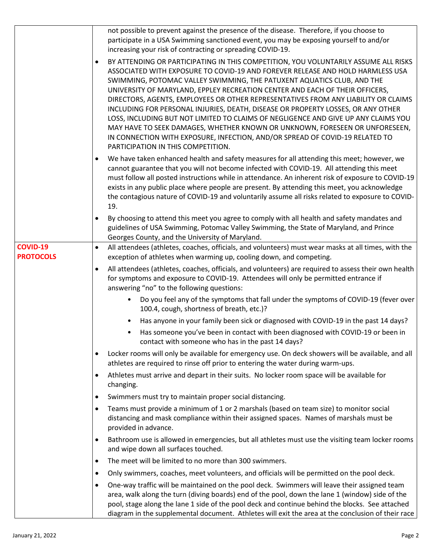|                                     | not possible to prevent against the presence of the disease. Therefore, if you choose to<br>participate in a USA Swimming sanctioned event, you may be exposing yourself to and/or<br>increasing your risk of contracting or spreading COVID-19.<br>BY ATTENDING OR PARTICIPATING IN THIS COMPETITION, YOU VOLUNTARILY ASSUME ALL RISKS<br>$\bullet$<br>ASSOCIATED WITH EXPOSURE TO COVID-19 AND FOREVER RELEASE AND HOLD HARMLESS USA<br>SWIMMING, POTOMAC VALLEY SWIMMING, THE PATUXENT AQUATICS CLUB, AND THE<br>UNIVERSITY OF MARYLAND, EPPLEY RECREATION CENTER AND EACH OF THEIR OFFICERS,<br>DIRECTORS, AGENTS, EMPLOYEES OR OTHER REPRESENTATIVES FROM ANY LIABILITY OR CLAIMS<br>INCLUDING FOR PERSONAL INJURIES, DEATH, DISEASE OR PROPERTY LOSSES, OR ANY OTHER<br>LOSS, INCLUDING BUT NOT LIMITED TO CLAIMS OF NEGLIGENCE AND GIVE UP ANY CLAIMS YOU<br>MAY HAVE TO SEEK DAMAGES, WHETHER KNOWN OR UNKNOWN, FORESEEN OR UNFORESEEN,<br>IN CONNECTION WITH EXPOSURE, INFECTION, AND/OR SPREAD OF COVID-19 RELATED TO<br>PARTICIPATION IN THIS COMPETITION. |
|-------------------------------------|-----------------------------------------------------------------------------------------------------------------------------------------------------------------------------------------------------------------------------------------------------------------------------------------------------------------------------------------------------------------------------------------------------------------------------------------------------------------------------------------------------------------------------------------------------------------------------------------------------------------------------------------------------------------------------------------------------------------------------------------------------------------------------------------------------------------------------------------------------------------------------------------------------------------------------------------------------------------------------------------------------------------------------------------------------------------------|
|                                     | We have taken enhanced health and safety measures for all attending this meet; however, we<br>$\bullet$<br>cannot guarantee that you will not become infected with COVID-19. All attending this meet<br>must follow all posted instructions while in attendance. An inherent risk of exposure to COVID-19<br>exists in any public place where people are present. By attending this meet, you acknowledge<br>the contagious nature of COVID-19 and voluntarily assume all risks related to exposure to COVID-<br>19.                                                                                                                                                                                                                                                                                                                                                                                                                                                                                                                                                  |
|                                     | By choosing to attend this meet you agree to comply with all health and safety mandates and<br>$\bullet$<br>guidelines of USA Swimming, Potomac Valley Swimming, the State of Maryland, and Prince<br>Georges County, and the University of Maryland.                                                                                                                                                                                                                                                                                                                                                                                                                                                                                                                                                                                                                                                                                                                                                                                                                 |
| <b>COVID-19</b><br><b>PROTOCOLS</b> | All attendees (athletes, coaches, officials, and volunteers) must wear masks at all times, with the<br>$\bullet$<br>exception of athletes when warming up, cooling down, and competing.                                                                                                                                                                                                                                                                                                                                                                                                                                                                                                                                                                                                                                                                                                                                                                                                                                                                               |
|                                     | All attendees (athletes, coaches, officials, and volunteers) are required to assess their own health<br>$\bullet$<br>for symptoms and exposure to COVID-19. Attendees will only be permitted entrance if<br>answering "no" to the following questions:                                                                                                                                                                                                                                                                                                                                                                                                                                                                                                                                                                                                                                                                                                                                                                                                                |
|                                     | Do you feel any of the symptoms that fall under the symptoms of COVID-19 (fever over<br>$\bullet$<br>100.4, cough, shortness of breath, etc.)?                                                                                                                                                                                                                                                                                                                                                                                                                                                                                                                                                                                                                                                                                                                                                                                                                                                                                                                        |
|                                     | Has anyone in your family been sick or diagnosed with COVID-19 in the past 14 days?<br>$\bullet$                                                                                                                                                                                                                                                                                                                                                                                                                                                                                                                                                                                                                                                                                                                                                                                                                                                                                                                                                                      |
|                                     | Has someone you've been in contact with been diagnosed with COVID-19 or been in<br>$\bullet$<br>contact with someone who has in the past 14 days?                                                                                                                                                                                                                                                                                                                                                                                                                                                                                                                                                                                                                                                                                                                                                                                                                                                                                                                     |
|                                     | Locker rooms will only be available for emergency use. On deck showers will be available, and all<br>$\bullet$<br>athletes are required to rinse off prior to entering the water during warm-ups.                                                                                                                                                                                                                                                                                                                                                                                                                                                                                                                                                                                                                                                                                                                                                                                                                                                                     |
|                                     | Athletes must arrive and depart in their suits. No locker room space will be available for<br>$\bullet$<br>changing.                                                                                                                                                                                                                                                                                                                                                                                                                                                                                                                                                                                                                                                                                                                                                                                                                                                                                                                                                  |
|                                     | Swimmers must try to maintain proper social distancing.<br>$\bullet$                                                                                                                                                                                                                                                                                                                                                                                                                                                                                                                                                                                                                                                                                                                                                                                                                                                                                                                                                                                                  |
|                                     | Teams must provide a minimum of 1 or 2 marshals (based on team size) to monitor social<br>$\bullet$<br>distancing and mask compliance within their assigned spaces. Names of marshals must be<br>provided in advance.                                                                                                                                                                                                                                                                                                                                                                                                                                                                                                                                                                                                                                                                                                                                                                                                                                                 |
|                                     | Bathroom use is allowed in emergencies, but all athletes must use the visiting team locker rooms<br>$\bullet$<br>and wipe down all surfaces touched.                                                                                                                                                                                                                                                                                                                                                                                                                                                                                                                                                                                                                                                                                                                                                                                                                                                                                                                  |
|                                     | The meet will be limited to no more than 300 swimmers.<br>$\bullet$                                                                                                                                                                                                                                                                                                                                                                                                                                                                                                                                                                                                                                                                                                                                                                                                                                                                                                                                                                                                   |
|                                     | Only swimmers, coaches, meet volunteers, and officials will be permitted on the pool deck.<br>$\bullet$                                                                                                                                                                                                                                                                                                                                                                                                                                                                                                                                                                                                                                                                                                                                                                                                                                                                                                                                                               |
|                                     | One-way traffic will be maintained on the pool deck. Swimmers will leave their assigned team<br>$\bullet$<br>area, walk along the turn (diving boards) end of the pool, down the lane 1 (window) side of the<br>pool, stage along the lane 1 side of the pool deck and continue behind the blocks. See attached<br>diagram in the supplemental document. Athletes will exit the area at the conclusion of their race                                                                                                                                                                                                                                                                                                                                                                                                                                                                                                                                                                                                                                                  |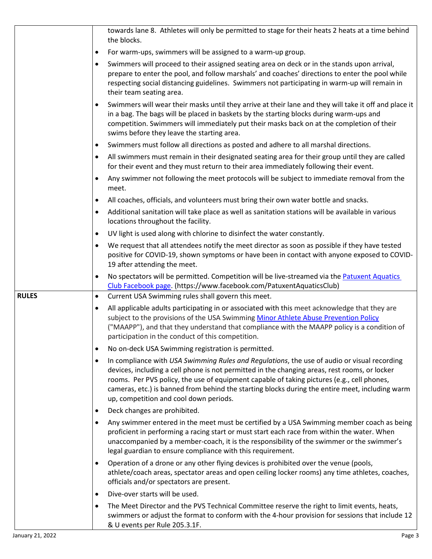|              |           | towards lane 8. Athletes will only be permitted to stage for their heats 2 heats at a time behind<br>the blocks.                                                                                                                                                                                                                                                                                                                        |
|--------------|-----------|-----------------------------------------------------------------------------------------------------------------------------------------------------------------------------------------------------------------------------------------------------------------------------------------------------------------------------------------------------------------------------------------------------------------------------------------|
|              | ٠         | For warm-ups, swimmers will be assigned to a warm-up group.                                                                                                                                                                                                                                                                                                                                                                             |
|              | $\bullet$ | Swimmers will proceed to their assigned seating area on deck or in the stands upon arrival,<br>prepare to enter the pool, and follow marshals' and coaches' directions to enter the pool while<br>respecting social distancing guidelines. Swimmers not participating in warm-up will remain in<br>their team seating area.                                                                                                             |
|              |           | Swimmers will wear their masks until they arrive at their lane and they will take it off and place it<br>in a bag. The bags will be placed in baskets by the starting blocks during warm-ups and<br>competition. Swimmers will immediately put their masks back on at the completion of their<br>swims before they leave the starting area.                                                                                             |
|              | $\bullet$ | Swimmers must follow all directions as posted and adhere to all marshal directions.                                                                                                                                                                                                                                                                                                                                                     |
|              | $\bullet$ | All swimmers must remain in their designated seating area for their group until they are called<br>for their event and they must return to their area immediately following their event.                                                                                                                                                                                                                                                |
|              | $\bullet$ | Any swimmer not following the meet protocols will be subject to immediate removal from the<br>meet.                                                                                                                                                                                                                                                                                                                                     |
|              | ٠         | All coaches, officials, and volunteers must bring their own water bottle and snacks.                                                                                                                                                                                                                                                                                                                                                    |
|              | $\bullet$ | Additional sanitation will take place as well as sanitation stations will be available in various<br>locations throughout the facility.                                                                                                                                                                                                                                                                                                 |
|              | $\bullet$ | UV light is used along with chlorine to disinfect the water constantly.                                                                                                                                                                                                                                                                                                                                                                 |
|              | $\bullet$ | We request that all attendees notify the meet director as soon as possible if they have tested<br>positive for COVID-19, shown symptoms or have been in contact with anyone exposed to COVID-<br>19 after attending the meet.                                                                                                                                                                                                           |
|              | ٠         | No spectators will be permitted. Competition will be live-streamed via the Patuxent Aquatics<br>Club Facebook page. (https://www.facebook.com/PatuxentAquaticsClub)                                                                                                                                                                                                                                                                     |
| <b>RULES</b> | $\bullet$ | Current USA Swimming rules shall govern this meet.                                                                                                                                                                                                                                                                                                                                                                                      |
|              | ٠         | All applicable adults participating in or associated with this meet acknowledge that they are<br>subject to the provisions of the USA Swimming Minor Athlete Abuse Prevention Policy<br>("MAAPP"), and that they understand that compliance with the MAAPP policy is a condition of<br>participation in the conduct of this competition.                                                                                                |
|              | ٠         | No on-deck USA Swimming registration is permitted.                                                                                                                                                                                                                                                                                                                                                                                      |
|              | $\bullet$ | In compliance with USA Swimming Rules and Regulations, the use of audio or visual recording<br>devices, including a cell phone is not permitted in the changing areas, rest rooms, or locker<br>rooms. Per PVS policy, the use of equipment capable of taking pictures (e.g., cell phones,<br>cameras, etc.) is banned from behind the starting blocks during the entire meet, including warm<br>up, competition and cool down periods. |
|              | $\bullet$ | Deck changes are prohibited.                                                                                                                                                                                                                                                                                                                                                                                                            |
|              | $\bullet$ | Any swimmer entered in the meet must be certified by a USA Swimming member coach as being<br>proficient in performing a racing start or must start each race from within the water. When<br>unaccompanied by a member-coach, it is the responsibility of the swimmer or the swimmer's<br>legal guardian to ensure compliance with this requirement.                                                                                     |
|              | $\bullet$ | Operation of a drone or any other flying devices is prohibited over the venue (pools,<br>athlete/coach areas, spectator areas and open ceiling locker rooms) any time athletes, coaches,<br>officials and/or spectators are present.                                                                                                                                                                                                    |
|              | ٠         | Dive-over starts will be used.                                                                                                                                                                                                                                                                                                                                                                                                          |
|              | ٠         | The Meet Director and the PVS Technical Committee reserve the right to limit events, heats,<br>swimmers or adjust the format to conform with the 4-hour provision for sessions that include 12<br>& U events per Rule 205.3.1F.                                                                                                                                                                                                         |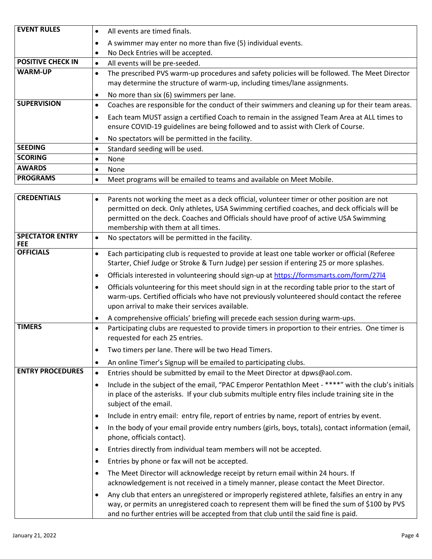| <b>EVENT RULES</b>       | All events are timed finals.                                                                                                                                                     |
|--------------------------|----------------------------------------------------------------------------------------------------------------------------------------------------------------------------------|
|                          | A swimmer may enter no more than five (5) individual events.                                                                                                                     |
|                          | No Deck Entries will be accepted.<br>٠                                                                                                                                           |
| <b>POSITIVE CHECK IN</b> | All events will be pre-seeded.<br>٠                                                                                                                                              |
| <b>WARM-UP</b>           | The prescribed PVS warm-up procedures and safety policies will be followed. The Meet Director<br>may determine the structure of warm-up, including times/lane assignments.       |
|                          | No more than six (6) swimmers per lane.                                                                                                                                          |
| <b>SUPERVISION</b>       | Coaches are responsible for the conduct of their swimmers and cleaning up for their team areas.<br>$\bullet$                                                                     |
|                          | Each team MUST assign a certified Coach to remain in the assigned Team Area at ALL times to<br>ensure COVID-19 guidelines are being followed and to assist with Clerk of Course. |
|                          | No spectators will be permitted in the facility.                                                                                                                                 |
| <b>SEEDING</b>           | Standard seeding will be used.<br>$\bullet$                                                                                                                                      |
| <b>SCORING</b>           | <b>None</b>                                                                                                                                                                      |
| <b>AWARDS</b>            | <b>None</b>                                                                                                                                                                      |
| <b>PROGRAMS</b>          | Meet programs will be emailed to teams and available on Meet Mobile.                                                                                                             |

| <b>CREDENTIALS</b>                   | Parents not working the meet as a deck official, volunteer timer or other position are not<br>permitted on deck. Only athletes, USA Swimming certified coaches, and deck officials will be<br>permitted on the deck. Coaches and Officials should have proof of active USA Swimming<br>membership with them at all times. |
|--------------------------------------|---------------------------------------------------------------------------------------------------------------------------------------------------------------------------------------------------------------------------------------------------------------------------------------------------------------------------|
| <b>SPECTATOR ENTRY</b><br><b>FEE</b> | No spectators will be permitted in the facility.<br>$\bullet$                                                                                                                                                                                                                                                             |
| <b>OFFICIALS</b>                     | Each participating club is requested to provide at least one table worker or official (Referee<br>$\bullet$<br>Starter, Chief Judge or Stroke & Turn Judge) per session if entering 25 or more splashes.                                                                                                                  |
|                                      | Officials interested in volunteering should sign-up at https://formsmarts.com/form/2714<br>$\bullet$                                                                                                                                                                                                                      |
|                                      | Officials volunteering for this meet should sign in at the recording table prior to the start of<br>$\bullet$<br>warm-ups. Certified officials who have not previously volunteered should contact the referee<br>upon arrival to make their services available.                                                           |
|                                      | A comprehensive officials' briefing will precede each session during warm-ups.<br>$\bullet$                                                                                                                                                                                                                               |
| <b>TIMERS</b>                        | Participating clubs are requested to provide timers in proportion to their entries. One timer is<br>$\bullet$<br>requested for each 25 entries.                                                                                                                                                                           |
|                                      | Two timers per lane. There will be two Head Timers.<br>$\bullet$                                                                                                                                                                                                                                                          |
|                                      | An online Timer's Signup will be emailed to participating clubs.<br>$\bullet$                                                                                                                                                                                                                                             |
| <b>ENTRY PROCEDURES</b>              | Entries should be submitted by email to the Meet Director at dpws@aol.com.<br>$\bullet$                                                                                                                                                                                                                                   |
|                                      | Include in the subject of the email, "PAC Emperor Pentathlon Meet - ****" with the club's initials<br>$\bullet$<br>in place of the asterisks. If your club submits multiple entry files include training site in the<br>subject of the email.                                                                             |
|                                      | Include in entry email: entry file, report of entries by name, report of entries by event.<br>$\bullet$                                                                                                                                                                                                                   |
|                                      | In the body of your email provide entry numbers (girls, boys, totals), contact information (email,<br>$\bullet$<br>phone, officials contact).                                                                                                                                                                             |
|                                      | Entries directly from individual team members will not be accepted.<br>$\bullet$                                                                                                                                                                                                                                          |
|                                      | Entries by phone or fax will not be accepted.<br>$\bullet$                                                                                                                                                                                                                                                                |
|                                      | The Meet Director will acknowledge receipt by return email within 24 hours. If<br>$\bullet$<br>acknowledgement is not received in a timely manner, please contact the Meet Director.                                                                                                                                      |
|                                      | Any club that enters an unregistered or improperly registered athlete, falsifies an entry in any<br>$\bullet$<br>way, or permits an unregistered coach to represent them will be fined the sum of \$100 by PVS<br>and no further entries will be accepted from that club until the said fine is paid.                     |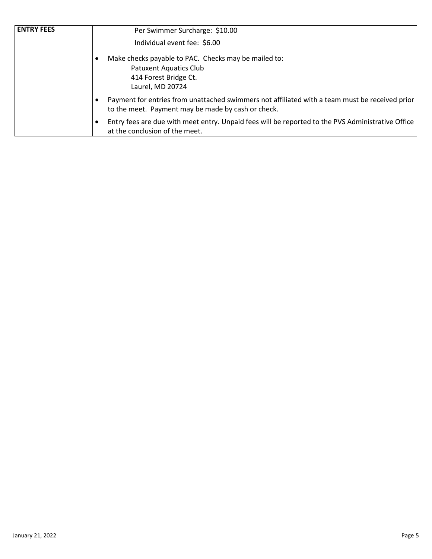| <b>ENTRY FEES</b> | Per Swimmer Surcharge: \$10.00                                                                                                                       |
|-------------------|------------------------------------------------------------------------------------------------------------------------------------------------------|
|                   | Individual event fee: \$6.00                                                                                                                         |
|                   | Make checks payable to PAC. Checks may be mailed to:                                                                                                 |
|                   | <b>Patuxent Aquatics Club</b>                                                                                                                        |
|                   | 414 Forest Bridge Ct.                                                                                                                                |
|                   | Laurel, MD 20724                                                                                                                                     |
|                   | Payment for entries from unattached swimmers not affiliated with a team must be received prior<br>to the meet. Payment may be made by cash or check. |
|                   | Entry fees are due with meet entry. Unpaid fees will be reported to the PVS Administrative Office<br>at the conclusion of the meet.                  |